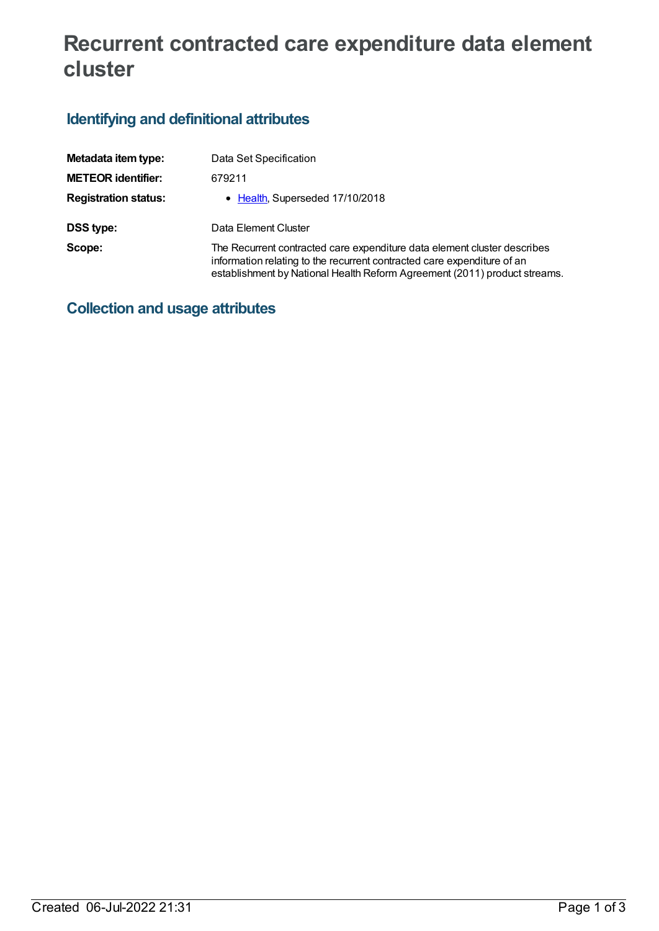# **Recurrent contracted care expenditure data element cluster**

## **Identifying and definitional attributes**

| Metadata item type:         | Data Set Specification                                                                                                                                                                                                           |
|-----------------------------|----------------------------------------------------------------------------------------------------------------------------------------------------------------------------------------------------------------------------------|
| <b>METEOR identifier:</b>   | 679211                                                                                                                                                                                                                           |
| <b>Registration status:</b> | • Health, Superseded 17/10/2018                                                                                                                                                                                                  |
| <b>DSS type:</b>            | Data Element Cluster                                                                                                                                                                                                             |
| Scope:                      | The Recurrent contracted care expenditure data element cluster describes<br>information relating to the recurrent contracted care expenditure of an<br>establishment by National Health Reform Agreement (2011) product streams. |

**Collection and usage attributes**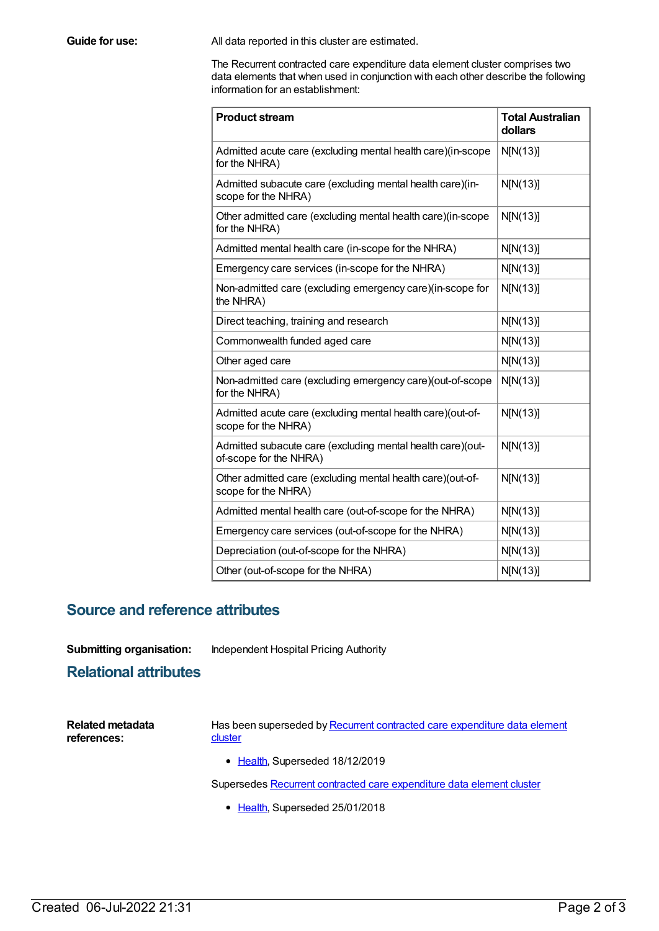**Guide for use:** All data reported in this cluster are estimated.

The Recurrent contracted care expenditure data element cluster comprises two data elements that when used in conjunction with each other describe the following information for an establishment:

| <b>Product stream</b>                                                                | <b>Total Australian</b><br>dollars |
|--------------------------------------------------------------------------------------|------------------------------------|
| Admitted acute care (excluding mental health care)(in-scope<br>for the NHRA)         | N[N(13)]                           |
| Admitted subacute care (excluding mental health care)(in-<br>scope for the NHRA)     | N[N(13)]                           |
| Other admitted care (excluding mental health care)(in-scope<br>for the NHRA)         | N[N(13)]                           |
| Admitted mental health care (in-scope for the NHRA)                                  | N[N(13)]                           |
| Emergency care services (in-scope for the NHRA)                                      | N[N(13)]                           |
| Non-admitted care (excluding emergency care)(in-scope for<br>the NHRA)               | N[N(13)]                           |
| Direct teaching, training and research                                               | N[N(13)]                           |
| Commonwealth funded aged care                                                        | N[N(13)]                           |
| Other aged care                                                                      | N[N(13)]                           |
| Non-admitted care (excluding emergency care)(out-of-scope<br>for the NHRA)           | N[N(13)]                           |
| Admitted acute care (excluding mental health care)(out-of-<br>scope for the NHRA)    | N[N(13)]                           |
| Admitted subacute care (excluding mental health care)(out-<br>of-scope for the NHRA) | N[N(13)]                           |
| Other admitted care (excluding mental health care)(out-of-<br>scope for the NHRA)    | N[N(13)]                           |
| Admitted mental health care (out-of-scope for the NHRA)                              | N[N(13)]                           |
| Emergency care services (out-of-scope for the NHRA)                                  | N[N(13)]                           |
| Depreciation (out-of-scope for the NHRA)                                             | N[N(13)]                           |
| Other (out-of-scope for the NHRA)                                                    | N[N(13)]                           |

#### **Source and reference attributes**

**Submitting organisation:** Independent Hospital Pricing Authority

#### **Relational attributes**

| Related metadata | Has been superseded by Recurrent contracted care expenditure data element |
|------------------|---------------------------------------------------------------------------|
| references:      | cluster                                                                   |
|                  |                                                                           |

• [Health](https://meteor.aihw.gov.au/RegistrationAuthority/12), Superseded 18/12/2019

Supersedes **Recurrent contracted care [expenditure](https://meteor.aihw.gov.au/content/643195) data element cluster** 

• [Health](https://meteor.aihw.gov.au/RegistrationAuthority/12), Superseded 25/01/2018